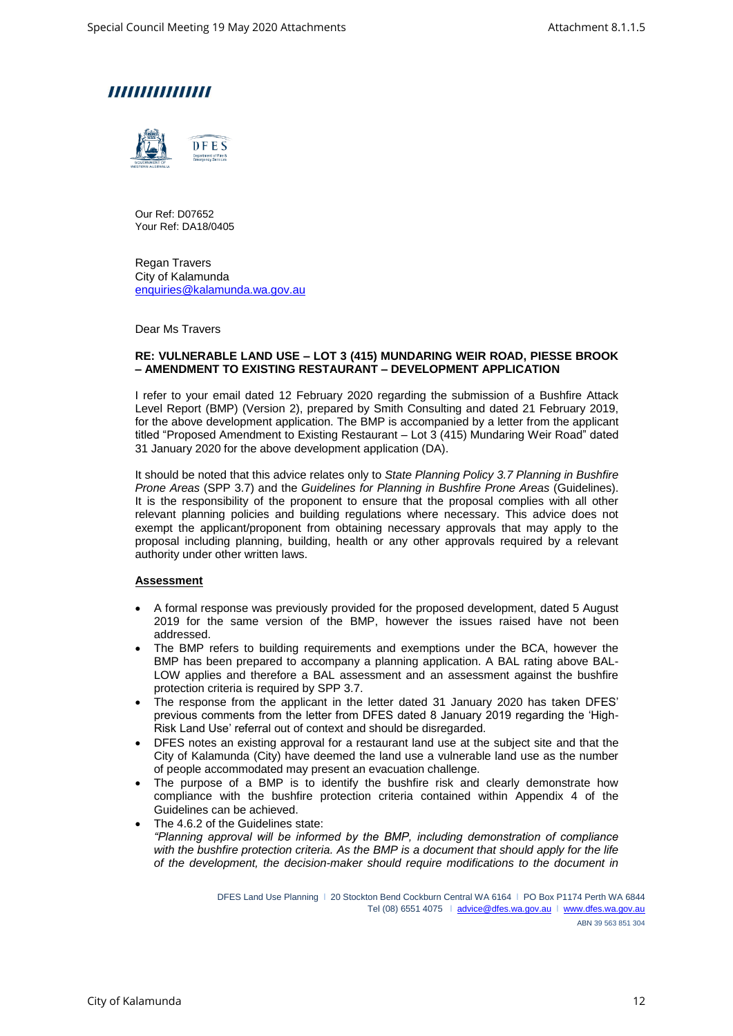



Our Ref: D07652 Your Ref: DA18/0405

Regan Travers City of Kalamunda [enquiries@kalamunda.wa.gov.au](mailto:enquiries@kalamunda.wa.gov.au)

Dear Ms Travers

#### **RE: VULNERABLE LAND USE – LOT 3 (415) MUNDARING WEIR ROAD, PIESSE BROOK – AMENDMENT TO EXISTING RESTAURANT – DEVELOPMENT APPLICATION**

I refer to your email dated 12 February 2020 regarding the submission of a Bushfire Attack Level Report (BMP) (Version 2), prepared by Smith Consulting and dated 21 February 2019, for the above development application. The BMP is accompanied by a letter from the applicant titled "Proposed Amendment to Existing Restaurant – Lot 3 (415) Mundaring Weir Road" dated 31 January 2020 for the above development application (DA).

It should be noted that this advice relates only to *State Planning Policy 3.7 Planning in Bushfire Prone Areas* (SPP 3.7) and the *Guidelines for Planning in Bushfire Prone Areas* (Guidelines). It is the responsibility of the proponent to ensure that the proposal complies with all other relevant planning policies and building regulations where necessary. This advice does not exempt the applicant/proponent from obtaining necessary approvals that may apply to the proposal including planning, building, health or any other approvals required by a relevant authority under other written laws.

### **Assessment**

- A formal response was previously provided for the proposed development, dated 5 August 2019 for the same version of the BMP, however the issues raised have not been addressed.
- The BMP refers to building requirements and exemptions under the BCA, however the BMP has been prepared to accompany a planning application. A BAL rating above BAL-LOW applies and therefore a BAL assessment and an assessment against the bushfire protection criteria is required by SPP 3.7.
- The response from the applicant in the letter dated 31 January 2020 has taken DFES' previous comments from the letter from DFES dated 8 January 2019 regarding the 'High-Risk Land Use' referral out of context and should be disregarded.
- DFES notes an existing approval for a restaurant land use at the subject site and that the City of Kalamunda (City) have deemed the land use a vulnerable land use as the number of people accommodated may present an evacuation challenge.
- The purpose of a BMP is to identify the bushfire risk and clearly demonstrate how compliance with the bushfire protection criteria contained within Appendix 4 of the Guidelines can be achieved.
- The 4.6.2 of the Guidelines state: *"Planning approval will be informed by the BMP, including demonstration of compliance with the bushfire protection criteria. As the BMP is a document that should apply for the life of the development, the decision-maker should require modifications to the document in*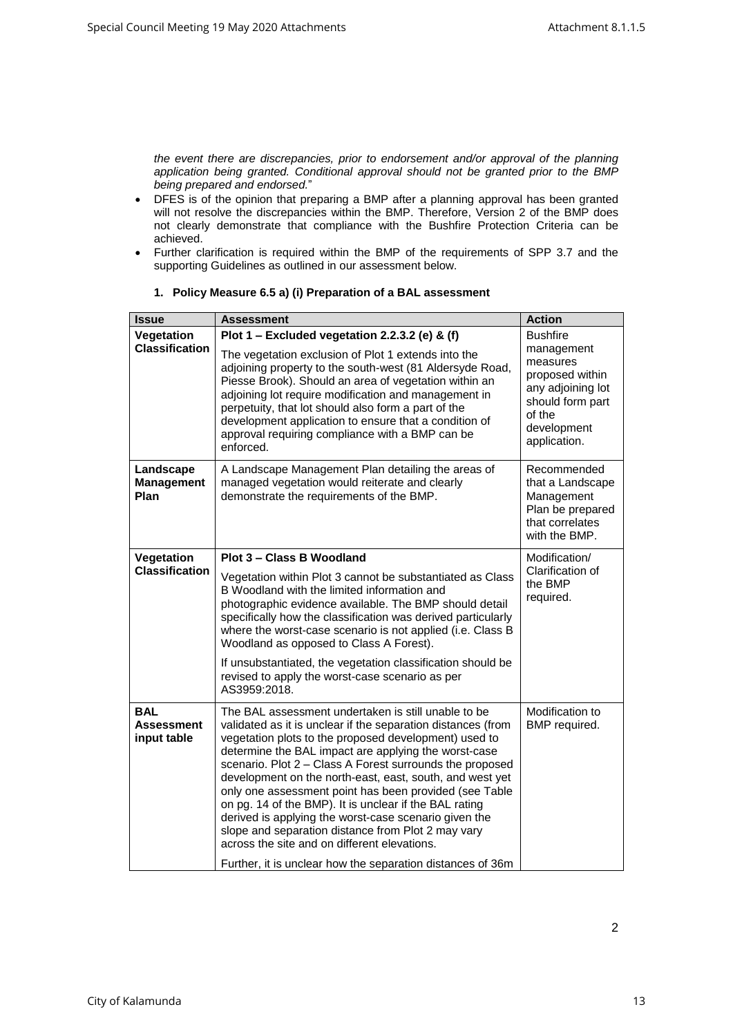*the event there are discrepancies, prior to endorsement and/or approval of the planning application being granted. Conditional approval should not be granted prior to the BMP being prepared and endorsed.*"

- DFES is of the opinion that preparing a BMP after a planning approval has been granted will not resolve the discrepancies within the BMP. Therefore, Version 2 of the BMP does not clearly demonstrate that compliance with the Bushfire Protection Criteria can be achieved.
- Further clarification is required within the BMP of the requirements of SPP 3.7 and the supporting Guidelines as outlined in our assessment below.

| <b>Issue</b>                           | <b>Assessment</b>                                                                                                                                                                                                                                                                                                                                                                                                                                                                                                                                                                                                                                                                                             | <b>Action</b>                                                                                                                                  |
|----------------------------------------|---------------------------------------------------------------------------------------------------------------------------------------------------------------------------------------------------------------------------------------------------------------------------------------------------------------------------------------------------------------------------------------------------------------------------------------------------------------------------------------------------------------------------------------------------------------------------------------------------------------------------------------------------------------------------------------------------------------|------------------------------------------------------------------------------------------------------------------------------------------------|
| Vegetation<br><b>Classification</b>    | Plot 1 - Excluded vegetation 2.2.3.2 (e) & (f)<br>The vegetation exclusion of Plot 1 extends into the<br>adjoining property to the south-west (81 Aldersyde Road,<br>Piesse Brook). Should an area of vegetation within an<br>adjoining lot require modification and management in<br>perpetuity, that lot should also form a part of the<br>development application to ensure that a condition of<br>approval requiring compliance with a BMP can be<br>enforced.                                                                                                                                                                                                                                            | <b>Bushfire</b><br>management<br>measures<br>proposed within<br>any adjoining lot<br>should form part<br>of the<br>development<br>application. |
| Landscape<br><b>Management</b><br>Plan | A Landscape Management Plan detailing the areas of<br>managed vegetation would reiterate and clearly<br>demonstrate the requirements of the BMP.                                                                                                                                                                                                                                                                                                                                                                                                                                                                                                                                                              | Recommended<br>that a Landscape<br>Management<br>Plan be prepared<br>that correlates<br>with the BMP.                                          |
| Vegetation<br><b>Classification</b>    | Plot 3 - Class B Woodland<br>Vegetation within Plot 3 cannot be substantiated as Class<br>B Woodland with the limited information and<br>photographic evidence available. The BMP should detail<br>specifically how the classification was derived particularly<br>where the worst-case scenario is not applied (i.e. Class B<br>Woodland as opposed to Class A Forest).<br>If unsubstantiated, the vegetation classification should be<br>revised to apply the worst-case scenario as per<br>AS3959:2018.                                                                                                                                                                                                    | Modification/<br>Clarification of<br>the BMP<br>required.                                                                                      |
| BAL<br>Assessment<br>input table       | The BAL assessment undertaken is still unable to be<br>validated as it is unclear if the separation distances (from<br>vegetation plots to the proposed development) used to<br>determine the BAL impact are applying the worst-case<br>scenario. Plot 2 - Class A Forest surrounds the proposed<br>development on the north-east, east, south, and west yet<br>only one assessment point has been provided (see Table<br>on pg. 14 of the BMP). It is unclear if the BAL rating<br>derived is applying the worst-case scenario given the<br>slope and separation distance from Plot 2 may vary<br>across the site and on different elevations.<br>Further, it is unclear how the separation distances of 36m | Modification to<br>BMP required.                                                                                                               |

### **1. Policy Measure 6.5 a) (i) Preparation of a BAL assessment**